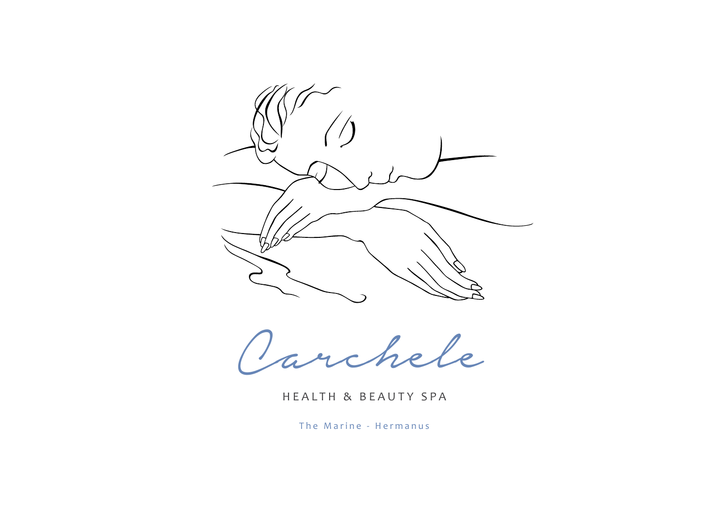

[Carchele](http://www.carchelespa.co.za)

HEALTH & BEAUTY SPA

The Marine - Hermanus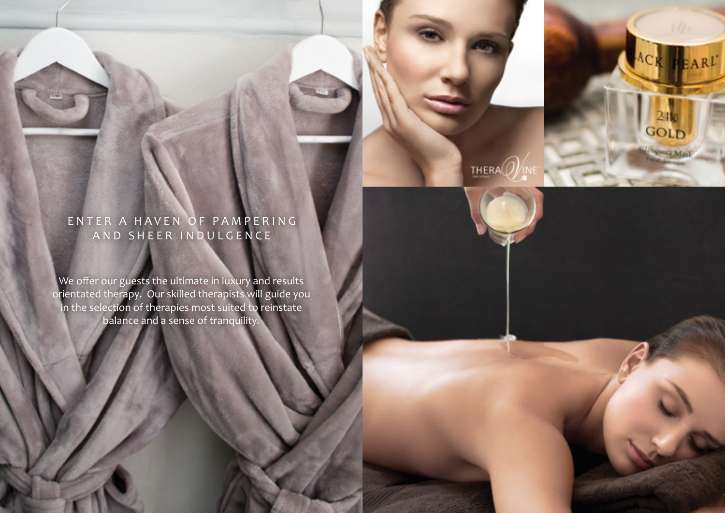# ENTER A HAVEN OF PAMPERING AND SHEER INDULGENCE

ACK PEARL

**GOL** Opatra Mask

THERA $\mathcal{O}$ 

We offer our guests the ultimate in luxury and results orientated therapy. Our skilled therapists will guide you in the selection of therapies most suited to reinstate balance and a sense of tranquility.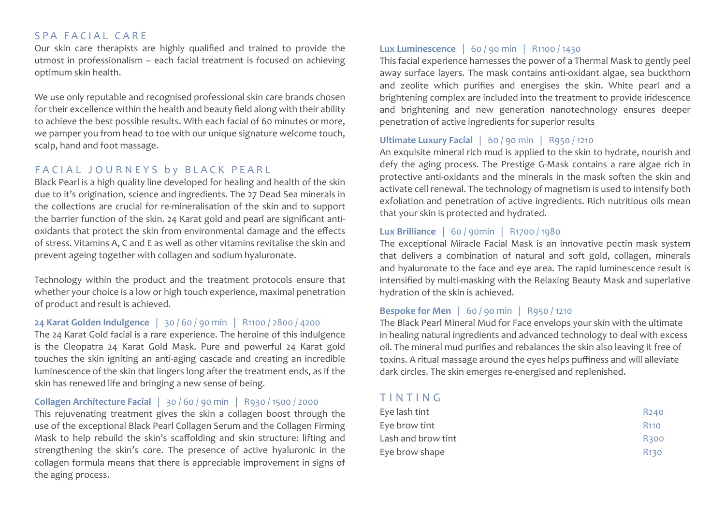## SPA FACIAL CARE

Our skin care therapists are highly qualified and trained to provide the utmost in professionalism – each facial treatment is focused on achieving optimum skin health.

We use only reputable and recognised professional skin care brands chosen for their excellence within the health and beauty field along with their ability to achieve the best possible results. With each facial of 60 minutes or more, we pamper you from head to toe with our unique signature welcome touch, scalp, hand and foot massage.

# FACIAL JOURNEYS by BLACK PEARL

Black Pearl is a high quality line developed for healing and health of the skin due to it's origination, science and ingredients. The 27 Dead Sea minerals in the collections are crucial for re-mineralisation of the skin and to support the barrier function of the skin. 24 Karat gold and pearl are significant antioxidants that protect the skin from environmental damage and the effects of stress. Vitamins A, C and E as well as other vitamins revitalise the skin and prevent ageing together with collagen and sodium hyaluronate.

Technology within the product and the treatment protocols ensure that whether your choice is a low or high touch experience, maximal penetration of product and result is achieved.

#### **24 Karat Golden Indulgence** | 30 / 60 / 90 min | R1100 / 2800 / 4200

The 24 Karat Gold facial is a rare experience. The heroine of this indulgence is the Cleopatra 24 Karat Gold Mask. Pure and powerful 24 Karat gold touches the skin igniting an anti-aging cascade and creating an incredible luminescence of the skin that lingers long after the treatment ends, as if the skin has renewed life and bringing a new sense of being.

#### **Collagen Architecture Facial** | 30 / 60 / 90 min| R930 / 1500 / 2000

This rejuvenating treatment gives the skin a collagen boost through the use of the exceptional Black Pearl Collagen Serum and the Collagen Firming Mask to help rebuild the skin's scaffolding and skin structure: lifting and strengthening the skin's core. The presence of active hyaluronic in the collagen formula means that there is appreciable improvement in signs of the aging process.

#### **Lux Luminescence** | 60 / 90 min| R1100 / 1430

This facial experience harnesses the power of a Thermal Mask to gently peel away surface layers. The mask contains anti-oxidant algae, sea buckthorn and zeolite which purifies and energises the skin. White pearl and a brightening complex are included into the treatment to provide iridescence and brightening and new generation nanotechnology ensures deeper penetration of active ingredients for superior results

#### **Ultimate Luxury Facial** | 60 / 90 min| R950 / 1210

An exquisite mineral rich mud is applied to the skin to hydrate, nourish and defy the aging process. The Prestige G-Mask contains a rare algae rich in protective anti-oxidants and the minerals in the mask soften the skin and activate cell renewal. The technology of magnetism is used to intensify both exfoliation and penetration of active ingredients. Rich nutritious oils mean that your skin is protected and hydrated.

#### **Lux Brilliance** | 60 / 90min| R1700 / 1980

The exceptional Miracle Facial Mask is an innovative pectin mask system that delivers a combination of natural and soft gold, collagen, minerals and hyaluronate to the face and eye area. The rapid luminescence result is intensified by multi-masking with the Relaxing Beauty Mask and superlative hydration of the skin is achieved.

## **Bespoke for Men** | 60 / 90 min| R950 / 1210

The Black Pearl Mineral Mud for Face envelops your skin with the ultimate in healing natural ingredients and advanced technology to deal with excess oil. The mineral mud purifies and rebalances the skin also leaving it free of toxins. A ritual massage around the eyes helps puffiness and will alleviate dark circles. The skin emerges re-energised and replenished.

# TINTING

| Eye lash tint      | R <sub>240</sub>       |
|--------------------|------------------------|
| Eye brow tint      | R <sub>110</sub>       |
| Lash and brow tint | <b>R300</b>            |
| Eye brow shape     | <b>R<sub>130</sub></b> |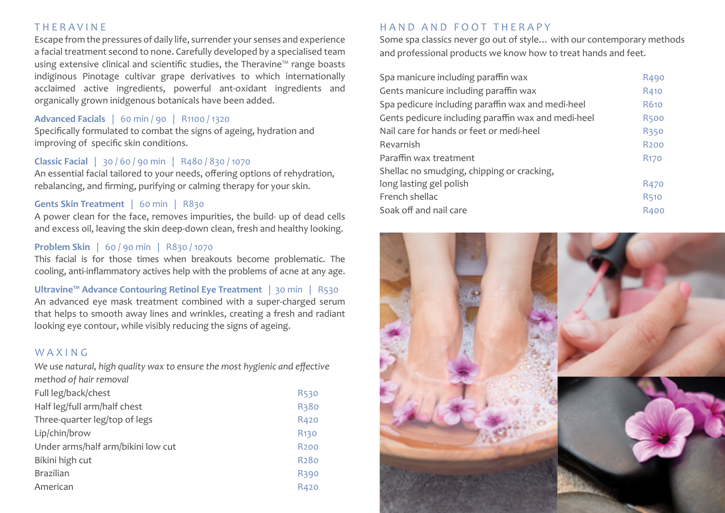#### T H E R A V I N E

Escape from the pressures of daily life, surrender your senses and experience a facial treatment second to none. Carefully developed by a specialised team using extensive clinical and scientific studies, the Theravine™ range boasts indiginous Pinotage cultivar grape derivatives to which internationally acclaimed active ingredients, powerful ant-oxidant ingredients and organically grown inidgenous botanicals have been added.

# **Advanced Facials** | 60 min / 90| R1100 / 1320

Specifically formulated to combat the signs of ageing, hydration and improving of specific skin conditions.

#### **Classic Facial** | 30 / 60 / 90 min| R480 / 830 / 1070

An essential facial tailored to your needs, offering options of rehydration, rebalancing, and firming, purifying or calming therapy for your skin.

#### **Gents Skin Treatment** | 60 min| R830

A power clean for the face, removes impurities, the build- up of dead cells and excess oil, leaving the skin deep-down clean, fresh and healthy looking.

#### **Problem Skin** | 60 / 90 min| R830 / 1070

This facial is for those times when breakouts become problematic. The cooling, anti-inflammatory actives help with the problems of acne at any age.

**Ultravine™ Advance Contouring Retinol Eye Treatment** | 30 min| R530 An advanced eye mask treatment combined with a super-charged serum that helps to smooth away lines and wrinkles, creating a fresh and radiant looking eye contour, while visibly reducing the signs of ageing.

## WAXING

*We use natural, high quality wax to ensure the most hygienic and effective method of hair removal* 

| Full leg/back/chest                | <b>R530</b>       |
|------------------------------------|-------------------|
| Half leg/full arm/half chest       | R380              |
| Three-quarter leg/top of legs      | R420              |
| Lip/chin/brow                      | R <sub>130</sub>  |
| Under arms/half arm/bikini low cut | R <sub>200</sub>  |
| Bikini high cut                    | R <sub>2</sub> 80 |
| <b>Brazilian</b>                   | R390              |
| American                           | R420              |

# HAND AND FOOT THERAPY

Some spa classics never go out of style… with our contemporary methods and professional products we know how to treat hands and feet.

| Spa manicure including paraffin wax                 | R490             |
|-----------------------------------------------------|------------------|
| Gents manicure including paraffin wax               | R410             |
| Spa pedicure including paraffin wax and medi-heel   | R610             |
| Gents pedicure including paraffin wax and medi-heel | <b>R500</b>      |
| Nail care for hands or feet or medi-heel            | <b>R350</b>      |
| Revarnish                                           | R <sub>200</sub> |
| Paraffin wax treatment                              | R <sub>170</sub> |
| Shellac no smudging, chipping or cracking,          |                  |
| long lasting gel polish                             | R <sub>470</sub> |
| French shellac                                      | <b>R510</b>      |
| Soak off and nail care                              | <b>R400</b>      |

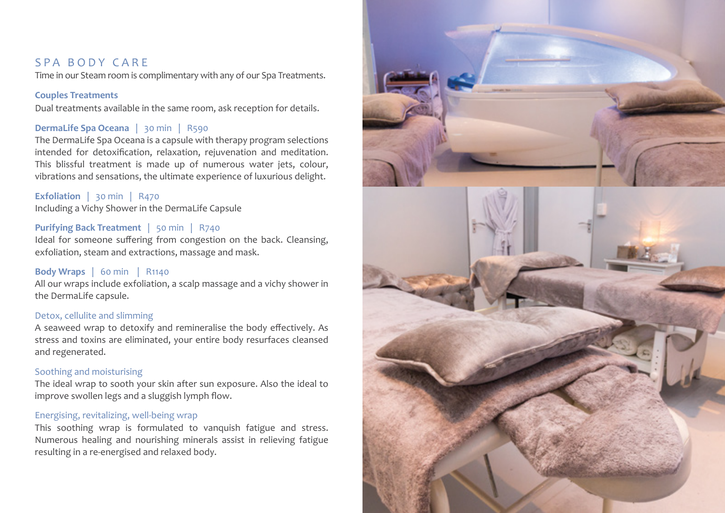# SPA BODY CARE

Time in our Steam room is complimentary with any of our Spa Treatments.

#### **Couples Treatments**

Dual treatments available in the same room, ask reception for details.

### **DermaLife Spa Oceana** | 30 min| R590

The DermaLife Spa Oceana is a capsule with therapy program selections intended for detoxification, relaxation, rejuvenation and meditation. This blissful treatment is made up of numerous water jets, colour, vibrations and sensations, the ultimate experience of luxurious delight.

#### **Exfoliation** | 30 min| R470 Including a Vichy Shower in the DermaLife Capsule

#### **Purifying Back Treatment** | 50 min| R740

Ideal for someone suffering from congestion on the back. Cleansing, exfoliation, steam and extractions, massage and mask.

#### **Body Wraps** | 60 min | R1140

All our wraps include exfoliation, a scalp massage and a vichy shower in the DermaLife capsule.

#### Detox, cellulite and slimming

A seaweed wrap to detoxify and remineralise the body effectively. As stress and toxins are eliminated, your entire body resurfaces cleansed and regenerated.

#### Soothing and moisturising

The ideal wrap to sooth your skin after sun exposure. Also the ideal to improve swollen legs and a sluggish lymph flow.

#### Energising, revitalizing, well-being wrap

This soothing wrap is formulated to vanquish fatigue and stress. Numerous healing and nourishing minerals assist in relieving fatigue resulting in a re-energised and relaxed body.

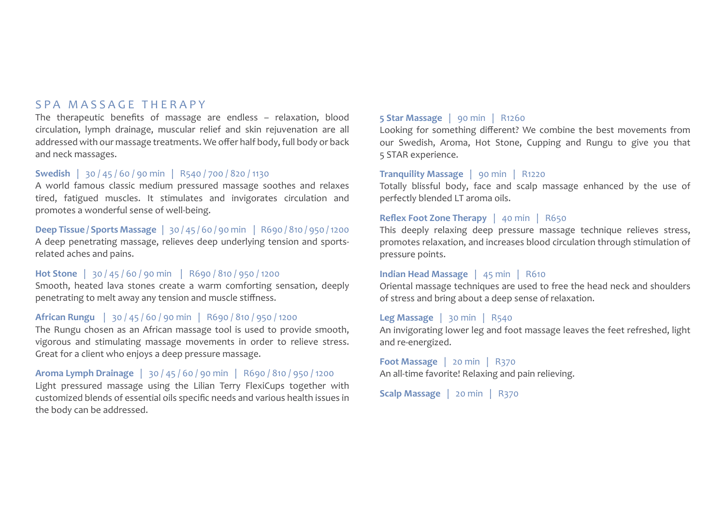# SPA MASSAGE THERAPY

The therapeutic benefits of massage are endless – relaxation, blood circulation, lymph drainage, muscular relief and skin rejuvenation are all addressed with our massage treatments. We offer half body, full body or back and neck massages.

#### **Swedish** | 30 / 45 / 60 / 90 min| R540 / 700 / 820 / 1130

A world famous classic medium pressured massage soothes and relaxes tired, fatigued muscles. It stimulates and invigorates circulation and promotes a wonderful sense of well-being.

#### **Deep Tissue / Sports Massage** | 30 / 45 / 60 / 90 min | R690 / 810 / 950 / 1200

A deep penetrating massage, relieves deep underlying tension and sportsrelated aches and pains.

# **Hot Stone** | 30 / 45 / 60 / 90 min | R690 / 810 / 950 / 1200

Smooth, heated lava stones create a warm comforting sensation, deeply penetrating to melt away any tension and muscle stiffness.

#### **African Rungu** | 30 / 45 / 60 / 90 min| R690 / 810 / 950 / 1200

The Rungu chosen as an African massage tool is used to provide smooth, vigorous and stimulating massage movements in order to relieve stress. Great for a client who enjoys a deep pressure massage.

#### **Aroma Lymph Drainage** | 30 / 45 / 60 / 90 min| R690 / 810 / 950 / 1200 Light pressured massage using the Lilian Terry FlexiCups together with customized blends of essential oils specific needs and various health issues in the body can be addressed.

#### **5 Star Massage** | 90 min| R1260

Looking for something different? We combine the best movements from our Swedish, Aroma, Hot Stone, Cupping and Rungu to give you that 5 STAR experience.

#### **Tranquility Massage** |90 min| R1220

Totally blissful body, face and scalp massage enhanced by the use of perfectly blended LT aroma oils.

#### **Reflex Foot Zone Therapy** |40 min| R650

This deeply relaxing deep pressure massage technique relieves stress, promotes relaxation, and increases blood circulation through stimulation of pressure points.

#### **Indian Head Massage** | 45 min| R610

Oriental massage techniques are used to free the head neck and shoulders of stress and bring about a deep sense of relaxation.

#### **Leg Massage** | 30 min| R540

An invigorating lower leg and foot massage leaves the feet refreshed, light and re-energized.

**Foot Massage** | 20 min| R370 An all-time favorite! Relaxing and pain relieving.

**Scalp Massage** | 20 min| R370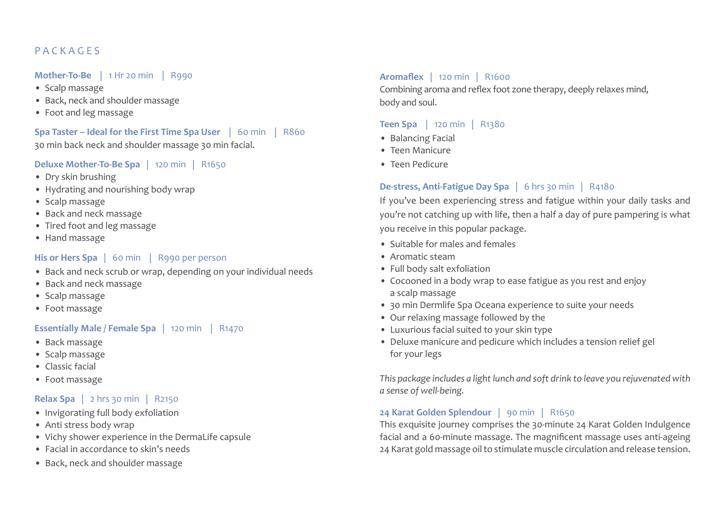# P A C K A G E S

#### **Mother-To-Be** | 1 Hr 20 min | R990

- Scalp massage
- Back, neck and shoulder massage
- Foot and leg massage

**Spa Taster – Ideal for the First Time Spa User** | 60 min | R860 30 min back neck and shoulder massage 30 min facial.

## **Deluxe Mother-To-Be Spa** | 120 min | R1650

- Dry skin brushing
- Hydrating and nourishing body wrap
- Scalp massage
- Back and neck massage
- Tired foot and leg massage
- Hand massage

## **His or Hers Spa** | 60 min | R990 per person

- Back and neck scrub or wrap, depending on your individual needs
- Back and neck massage
- Scalp massage
- Foot massage

# **Essentially Male / Female Spa** | 120 min | R1470

- Back massage
- Scalp massage
- Classic facial
- Foot massage

## **Relax Spa** | 2 hrs 30 min | R2150

- Invigorating full body exfoliation
- Anti stress body wrap
- Vichy shower experience in the DermaLife capsule
- Facial in accordance to skin's needs
- Back, neck and shoulder massage

## **Aromaflex** | 120 min| R1600

Combining aroma and reflex foot zone therapy, deeply relaxes mind, body and soul.

# **Teen Spa** | 120 min | R1380

- Balancing Facial
- Teen Manicure
- Teen Pedicure

# **De-stress, Anti-Fatigue Day Spa** | 6 hrs 30 min| R4180

If you've been experiencing stress and fatigue within your daily tasks and you're not catching up with life, then a half a day of pure pampering is what you receive in this popular package.

- Suitable for males and females
- Aromatic steam
- Full body salt exfoliation
- Cocooned in a body wrap to ease fatigue as you rest and enjoy a scalp massage
- 30 min Dermlife Spa Oceana experience to suite your needs
- Our relaxing massage followed by the
- Luxurious facial suited to your skin type
- Deluxe manicure and pedicure which includes a tension relief gel for your legs

*This package includes a light lunch and soft drink to leave you rejuvenated with a sense of well-being.*

## **24 Karat Golden Splendour** | 90 min | R1650

This exquisite journey comprises the 30-minute 24 Karat Golden Indulgence facial and a 60-minute massage. The magnificent massage uses anti-ageing 24 Karat gold massage oil to stimulate muscle circulation and release tension.